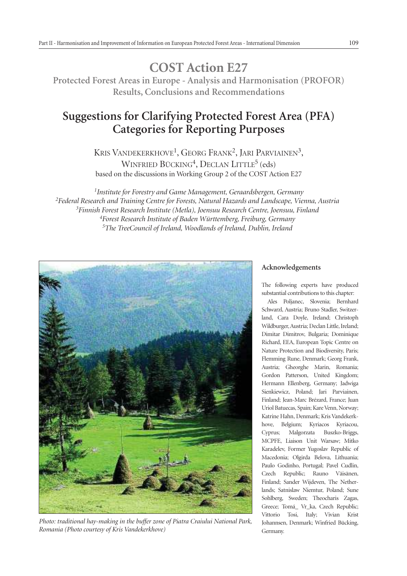# **COST Action E27**

**Protected Forest Areas in Europe - Analysis and Harmonisation (PROFOR) Results, Conclusions and Recommendations**

# **Suggestions for Clarifying Protected Forest Area (PFA) Categories for Reporting Purposes**

Kris Vandekerkhove<sup>1</sup>, Georg Frank<sup>2</sup>, Jari Parviainen<sup>3</sup>, WINFRIED BÜCKING<sup>4</sup>, DECLAN LITTLE<sup>5</sup> (eds) based on the discussions in Working Group 2 of the COST Action E27

 *Institute for Forestry and Game Management, Geraardsbergen, Germany Federal Research and Training Centre for Forests, Natural Hazards and Landscape, Vienna, Austria Finnish Forest Research Institute (Metla), Joensuu Research Centre, Joensuu, Finland Forest Research Institute of Baden Württemberg, Freiburg, Germany The TreeCouncil of Ireland, Woodlands of Ireland, Dublin, Ireland*



*Photo: traditional hay-making in the buffer zone of Piatra Craiului National Park, Romania (Photo courtesy of Kris Vandekerkhove)*

## **Acknowledgements**

The following experts have produced substantial contributions to this chapter:

Ales Poljanec, Slovenia; Bernhard Schwarzl, Austria; Bruno Stadler, Switzerland, Cara Doyle, Ireland; Christoph Wildburger, Austria; Declan Little, Ireland; Dimitar Dimitrov, Bulgaria; Dominique Richard, EEA, European Topic Centre on Nature Protection and Biodiversity, Paris; Flemming Rune, Denmark; Georg Frank, Austria; Gheorghe Marin, Romania; Gordon Patterson, United Kingdom; Hermann Ellenberg, Germany; Jadwiga Sienkiewicz, Poland; Jari Parviainen, Finland; Jean-Marc Brézard, France; Juan Uriol Batuecas, Spain; Kare Venn, Norway; Katrine Hahn, Denmark; Kris Vandekerkhove, Belgium; Kyriacos Kyriacou, Cyprus; Malgorzata Buszko-Briggs, MCPFE, Liaison Unit Warsaw; Mitko Karadelev, Former Yugoslav Republic of Macedonia; Olgirda Belova, Lithuania; Paulo Godinho, Portugal; Pavel Cudlin, Czech Republic; Rauno Väisänen, Finland; Sander Wijdeven, The Netherlands; Satnislaw Niemtur, Poland; Sune Sohlberg, Sweden; Theocharis Zagas, Greece; Tomá\_ Vr\_ka, Czech Republic; Vittorio Tosi, Italy; Vivian Krist Johannsen, Denmark; Winfried Bücking, Germany.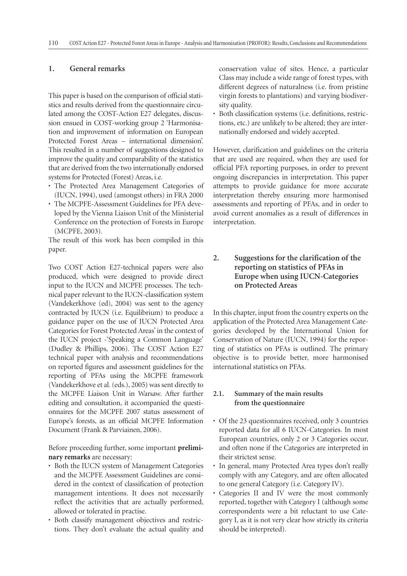## **1. General remarks**

This paper is based on the comparison of official statistics and results derived from the questionnaire circulated among the COST-Action E27 delegates, discussion ensued in COST-working group 2 'Harmonisation and improvement of information on European Protected Forest Areas – international dimension'. This resulted in a number of suggestions designed to improve the quality and comparability of the statistics that are derived from the two internationally endorsed systems for Protected (Forest) Areas, i.e.

- The Protected Area Management Categories of (IUCN, 1994), used (amongst others) in FRA 2000
- The MCPFE-Assessment Guidelines for PFA developed by the Vienna Liaison Unit of the Ministerial Conference on the protection of Forests in Europe (MCPFE, 2003).

The result of this work has been compiled in this paper.

Two COST Action E27-technical papers were also produced, which were designed to provide direct input to the IUCN and MCPFE processes. The technical paper relevant to the IUCN-classification system (Vandekerkhove (ed), 2004) was sent to the agency contracted by IUCN (i.e. Equilibrium) to produce a guidance paper on the use of IUCN Protected Area Categories for Forest Protected Areas' in the context of the IUCN project -'Speaking a Common Language' (Dudley & Phillips, 2006). The COST Action E27 technical paper with analysis and recommendations on reported figures and assessment guidelines for the reporting of PFAs using the MCPFE framework (Vandekerkhove et al. (eds.), 2005) was sent directly to the MCPFE Liaison Unit in Warsaw. After further editing and consultation, it accompanied the questionnaires for the MCPFE 2007 status assessment of Europe's forests, as an official MCPFE Information Document (Frank & Parviainen, 2006).

Before proceeding further, some important **preliminary remarks** are necessary:

- Both the IUCN system of Management Categories and the MCPFE Assessment Guidelines are considered in the context of classification of protection management intentions. It does not necessarily reflect the activities that are actually performed, allowed or tolerated in practise.
- Both classify management objectives and restrictions. They don't evaluate the actual quality and

conservation value of sites. Hence, a particular Class may include a wide range of forest types, with different degrees of naturalness (i.e. from pristine virgin forests to plantations) and varying biodiversity quality.

• Both classification systems (i.e. definitions, restrictions, etc.) are unlikely to be altered; they are internationally endorsed and widely accepted.

However, clarification and guidelines on the criteria that are used are required, when they are used for official PFA reporting purposes, in order to prevent ongoing discrepancies in interpretation. This paper attempts to provide guidance for more accurate interpretation thereby ensuring more harmonised assessments and reporting of PFAs, and in order to avoid current anomalies as a result of differences in interpretation.

# **2. Suggestions for the clarification of the reporting on statistics of PFAs in Europe when using IUCN-Categories on Protected Areas**

In this chapter, input from the country experts on the application of the Protected Area Management Categories developed by the International Union for Conservation of Nature (IUCN, 1994) for the reporting of statistics on PFAs is outlined. The primary objective is to provide better, more harmonised international statistics on PFAs.

# **2.1. Summary of the main results from the questionnaire**

- Of the 23 questionnaires received, only 3 countries reported data for all 6 IUCN-Categories. In most European countries, only 2 or 3 Categories occur, and often none if the Categories are interpreted in their strictest sense.
- In general, many Protected Area types don't really comply with any Category, and are often allocated to one general Category (i.e. Category IV).
- Categories II and IV were the most commonly reported, together with Category I (although some correspondents were a bit reluctant to use Category I, as it is not very clear how strictly its criteria should be interpreted).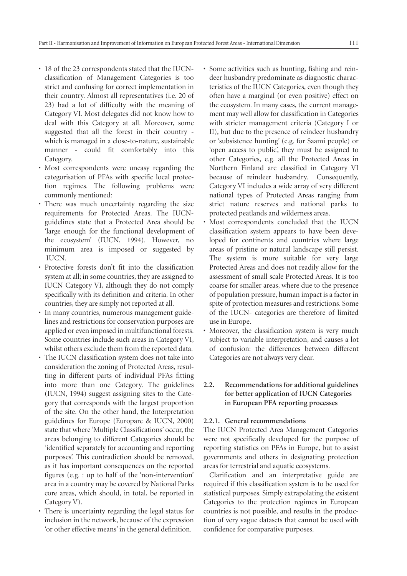- 18 of the 23 correspondents stated that the IUCNclassification of Management Categories is too strict and confusing for correct implementation in their country. Almost all representatives (i.e. 20 of 23) had a lot of difficulty with the meaning of Category VI. Most delegates did not know how to deal with this Category at all. Moreover, some suggested that all the forest in their country which is managed in a close-to-nature, sustainable manner - could fit comfortably into this Category.
- Most correspondents were uneasy regarding the categorisation of PFAs with specific local protection regimes. The following problems were commonly mentioned:
- There was much uncertainty regarding the size requirements for Protected Areas. The IUCNguidelines state that a Protected Area should be 'large enough for the functional development of the ecosystem' (IUCN, 1994). However, no minimum area is imposed or suggested by **IUCN**
- Protective forests don't fit into the classification system at all; in some countries, they are assigned to IUCN Category VI, although they do not comply specifically with its definition and criteria. In other countries, they are simply not reported at all.
- In many countries, numerous management guidelines and restrictions for conservation purposes are applied or even imposed in multifunctional forests. Some countries include such areas in Category VI, whilst others exclude them from the reported data.
- The IUCN classification system does not take into consideration the zoning of Protected Areas, resulting in different parts of individual PFAs fitting into more than one Category. The guidelines (IUCN, 1994) suggest assigning sites to the Category that corresponds with the largest proportion of the site. On the other hand, the Interpretation guidelines for Europe (Europarc & IUCN, 2000) state that where 'Multiple Classifications' occur, the areas belonging to different Categories should be 'identified separately for accounting and reporting purposes'. This contradiction should be removed, as it has important consequences on the reported figures (e.g. : up to half of the 'non-intervention' area in a country may be covered by National Parks core areas, which should, in total, be reported in Category V).
- There is uncertainty regarding the legal status for inclusion in the network, because of the expression 'or other effective means' in the general definition.
- Some activities such as hunting, fishing and reindeer husbandry predominate as diagnostic characteristics of the IUCN Categories, even though they often have a marginal (or even positive) effect on the ecosystem. In many cases, the current management may well allow for classification in Categories with stricter management criteria (Category I or II), but due to the presence of reindeer husbandry or 'subsistence hunting' (e.g. for Saami people) or 'open access to public', they must be assigned to other Categories, e.g. all the Protected Areas in Northern Finland are classified in Category VI because of reindeer husbandry. Consequently, Category VI includes a wide array of very different national types of Protected Areas ranging from strict nature reserves and national parks to protected peatlands and wilderness areas.
- Most correspondents concluded that the IUCN classification system appears to have been developed for continents and countries where large areas of pristine or natural landscape still persist. The system is more suitable for very large Protected Areas and does not readily allow for the assessment of small scale Protected Areas. It is too coarse for smaller areas, where due to the presence of population pressure, human impact is a factor in spite of protection measures and restrictions. Some of the IUCN- categories are therefore of limited use in Europe.
- Moreover, the classification system is very much subject to variable interpretation, and causes a lot of confusion: the differences between different Categories are not always very clear.

# **2.2. Recommendations for additional guidelines for better application of IUCN Categories in European PFA reporting processes**

## **2.2.1. General recommendations**

The IUCN Protected Area Management Categories were not specifically developed for the purpose of reporting statistics on PFAs in Europe, but to assist governments and others in designating protection areas for terrestrial and aquatic ecosystems.

Clarification and an interpretative guide are required if this classification system is to be used for statistical purposes. Simply extrapolating the existent Categories to the protection regimes in European countries is not possible, and results in the production of very vague datasets that cannot be used with confidence for comparative purposes.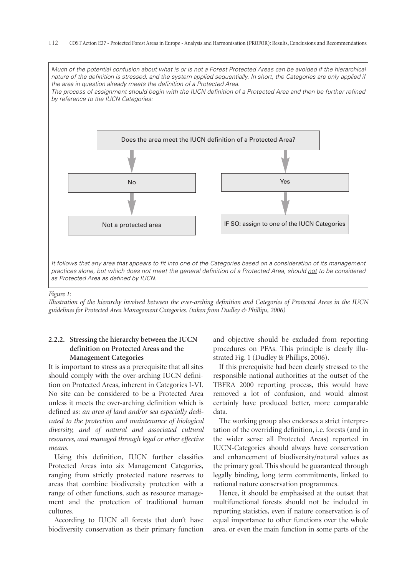

#### *Figure 1:*

*Illustration of the hierarchy involved between the over-arching definition and Categories of Protected Areas in the IUCN guidelines for Protected Area Management Categories. (taken from Dudley & Phillips, 2006)*

# **2.2.2. Stressing the hierarchy between the IUCN definition on Protected Areas and the Management Categories**

It is important to stress as a prerequisite that all sites should comply with the over-arching IUCN definition on Protected Areas, inherent in Categories I-VI. No site can be considered to be a Protected Area unless it meets the over-arching definition which is defined as: *an area of land and/or sea especially dedicated to the protection and maintenance of biological diversity, and of natural and associated cultural resources, and managed through legal or other effective means*.

Using this definition, IUCN further classifies Protected Areas into six Management Categories, ranging from strictly protected nature reserves to areas that combine biodiversity protection with a range of other functions, such as resource management and the protection of traditional human cultures.

According to IUCN all forests that don't have biodiversity conservation as their primary function and objective should be excluded from reporting procedures on PFAs. This principle is clearly illustrated Fig. 1 (Dudley & Phillips, 2006)*.*

If this prerequisite had been clearly stressed to the responsible national authorities at the outset of the TBFRA 2000 reporting process, this would have removed a lot of confusion, and would almost certainly have produced better, more comparable data.

The working group also endorses a strict interpretation of the overriding definition, i.e. forests (and in the wider sense all Protected Areas) reported in IUCN-Categories should always have conservation and enhancement of biodiversity/natural values as the primary goal. This should be guaranteed through legally binding, long term commitments, linked to national nature conservation programmes.

Hence, it should be emphasised at the outset that multifunctional forests should not be included in reporting statistics, even if nature conservation is of equal importance to other functions over the whole area, or even the main function in some parts of the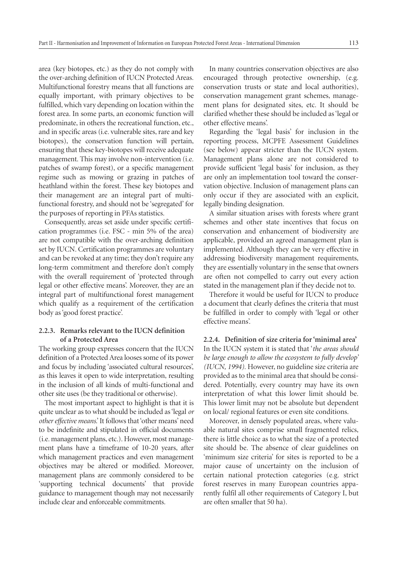area (key biotopes, etc.) as they do not comply with the over-arching definition of IUCN Protected Areas. Multifunctional forestry means that all functions are equally important, with primary objectives to be fulfilled, which vary depending on location within the forest area. In some parts, an economic function will predominate, in others the recreational function, etc., and in specific areas (i.e. vulnerable sites, rare and key biotopes), the conservation function will pertain, ensuring that these key-biotopes will receive adequate management. This may involve non-intervention (i.e. patches of swamp forest), or a specific management regime such as mowing or grazing in patches of heathland within the forest. These key biotopes and their management are an integral part of multifunctional forestry, and should not be 'segregated' for the purposes of reporting in PFAs statistics.

Consequently, areas set aside under specific certification programmes (i.e. FSC - min 5% of the area) are not compatible with the over-arching definition set by IUCN. Certification programmes are voluntary and can be revoked at any time; they don't require any long-term commitment and therefore don't comply with the overall requirement of 'protected through legal or other effective means'. Moreover, they are an integral part of multifunctional forest management which qualify as a requirement of the certification body as 'good forest practice'.

# **2.2.3. Remarks relevant to the IUCN definition of a Protected Area**

The working group expresses concern that the IUCN definition of a Protected Area looses some of its power and focus by including 'associated cultural resources', as this leaves it open to wide interpretation, resulting in the inclusion of all kinds of multi-functional and other site uses (be they traditional or otherwise).

The most important aspect to highlight is that it is quite unclear as to what should be included as 'legal *or other effective means*.' It follows that 'other means' need to be indefinite and stipulated in official documents (i.e. management plans, etc.). However, most management plans have a timeframe of 10-20 years, after which management practices and even management objectives may be altered or modified. Moreover, management plans are commonly considered to be 'supporting technical documents' that provide guidance to management though may not necessarily include clear and enforceable commitments.

In many countries conservation objectives are also encouraged through protective ownership, (e.g. conservation trusts or state and local authorities), conservation management grant schemes, management plans for designated sites, etc. It should be clarified whether these should be included as 'legal or other effective means'.

Regarding the 'legal basis' for inclusion in the reporting process, MCPFE Assessment Guidelines (see below) appear stricter than the IUCN system. Management plans alone are not considered to provide sufficient 'legal basis' for inclusion, as they are only an implementation tool toward the conservation objective. Inclusion of management plans can only occur if they are associated with an explicit, legally binding designation.

A similar situation arises with forests where grant schemes and other state incentives that focus on conservation and enhancement of biodiversity are applicable, provided an agreed management plan is implemented. Although they can be very effective in addressing biodiversity management requirements, they are essentially voluntary in the sense that owners are often not compelled to carry out every action stated in the management plan if they decide not to.

Therefore it would be useful for IUCN to produce a document that clearly defines the criteria that must be fulfilled in order to comply with 'legal or other effective means'.

**2.2.4. Definition of size criteria for 'minimal area'** In the IUCN system it is stated that '*the areas should be large enough to allow the ecosystem to fully develop' (IUCN, 1994).* However, no guideline size criteria are provided as to the minimal area that should be considered. Potentially, every country may have its own interpretation of what this lower limit should be. This lower limit may not be absolute but dependent on local/ regional features or even site conditions.

Moreover, in densely populated areas, where valuable natural sites comprise small fragmented relics, there is little choice as to what the size of a protected site should be. The absence of clear guidelines on 'minimum size criteria' for sites is reported to be a major cause of uncertainty on the inclusion of certain national protection categories (e.g. strict forest reserves in many European countries apparently fulfil all other requirements of Category I, but are often smaller that 50 ha).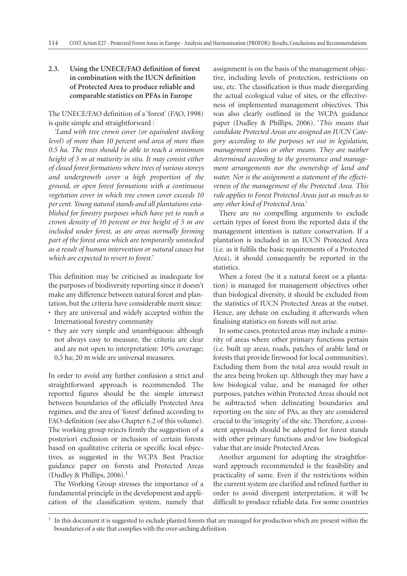# **2.3. Using the UNECE/FAO definition of forest in combination with the IUCN definition of Protected Area to produce reliable and comparable statistics on PFAs in Europe**

The UNECE/FAO definition of a 'forest' (FAO, 1998) is quite simple and straightforward :

*'Land with tree crown cover (or equivalent stocking level) of more than 10 percent and area of more than 0.5 ha. The trees should be able to reach a minimum height of 5 m at maturity in situ. It may consist either of closed forest formations where trees of various storeys and undergrowth cover a high proportion of the ground, or open forest formations with a continuous vegetation cover in which tree crown cover exceeds 10 per cent. Young natural stands and all plantations established for forestry purposes which have yet to reach a crown density of 10 percent or tree height of 5 m are included under forest, as are areas normally forming part of the forest area which are temporarily unstocked as a result of human intervention or natural causes but which are expected to revert to forest.'*

This definition may be criticised as inadequate for the purposes of biodiversity reporting since it doesn't make any difference between natural forest and plantation, but the criteria have considerable merit since:

- they are universal and widely accepted within the International forestry community
- they are very simple and unambiguous: although not always easy to measure, the criteria are clear and are not open to interpretation: 10% coverage; 0,5 ha; 20 m wide are universal measures.

In order to avoid any further confusion a strict and straightforward approach is recommended. The reported figures should be the simple intersect between boundaries of the officially Protected Area regimes, and the area of 'forest' defined according to FAO-definition (see also Chapter 6.2 of this volume). The working group rejects firmly the suggestion of a posteriori exclusion or inclusion of certain forests based on qualitative criteria or specific local objectives, as suggested in the WCPA Best Practice guidance paper on forests and Protected Areas (Dudley & Phillips, 2006).<sup>1</sup>

The Working Group stresses the importance of a fundamental principle in the development and application of the classification system, namely that assignment is on the basis of the management objective, including levels of protection, restrictions on use, etc. The classification is thus made disregarding the actual ecological value of sites, or the effectiveness of implemented management objectives. This was also clearly outlined in the WCPA guidance paper (Dudley & Phillips, 2006). '*This means that candidate Protected Areas are assigned an IUCN Category according to the purposes set out in legislation, management plans or other means. They are naither determined according to the governance and management arrangements nor the ownership of land and water. Nor is the assignment a statement of the effectiveness of the management of the Protected Area. This rule applies to Forest Protected Areas just as much as to any other kind of Protected Area.'*

There are no compelling arguments to exclude certain types of forest from the reported data if the management intention is nature conservation. If a plantation is included in an IUCN Protected Area (i.e. as it fulfils the basic requirements of a Protected Area), it should consequently be reported in the statistics.

When a forest (be it a natural forest or a plantation) is managed for management objectives other than biological diversity, it should be excluded from the statistics of IUCN Protected Areas at the outset. Hence, any debate on excluding it afterwards when finalising statistics on forests will not arise.

In some cases, protected areas may include a minority of areas where other primary functions pertain (i.e. built up areas, roads, patches of arable land or forests that provide firewood for local communities). Excluding them from the total area would result in the area being broken up. Although they may have a low biological value, and be managed for other purposes, patches within Protected Areas should not be subtracted when delineating boundaries and reporting on the size of PAs, as they are considered crucial to the 'integrity' of the site. Therefore, a consistent approach should be adopted for forest stands with other primary functions and/or low biological value that are inside Protected Areas.

Another argument for adopting the straightforward approach recommended is the feasibility and practicality of same. Even if the restrictions within the current system are clarified and refined further in order to avoid divergent interpretation, it will be difficult to produce reliable data. For some countries

<sup>&</sup>lt;sup>1</sup> In this document it is suggested to exclude planted forests that are managed for production which are present within the boundaries of a site that complies with the over-arching definition.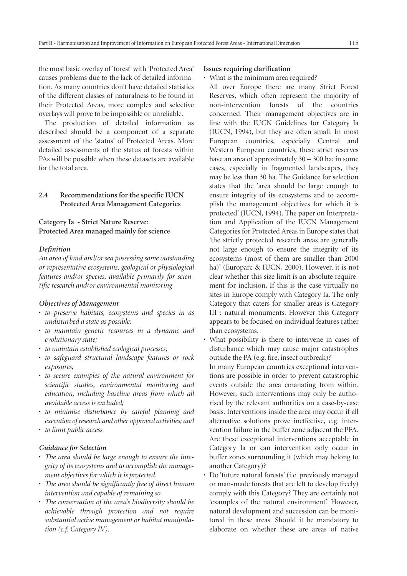the most basic overlay of 'forest' with 'Protected Area' causes problems due to the lack of detailed information. As many countries don't have detailed statistics of the different classes of naturalness to be found in their Protected Areas, more complex and selective overlays will prove to be impossible or unreliable.

The production of detailed information as described should be a component of a separate assessment of the 'status' of Protected Areas. More detailed assessments of the status of forests within PAs will be possible when these datasets are available for the total area.

# **2.4 Recommendations for the specific IUCN Protected Area Management Categories**

# **Category Ia - Strict Nature Reserve: Protected Area managed mainly for science**

#### *Definition*

*An area of land and/or sea possessing some outstanding or representative ecosystems, geological or physiological features and/or species, available primarily for scientific research and/or environmental monitoring*

#### *Objectives of Management*

- *to preserve habitats, ecosystems and species in as undisturbed a state as possible;*
- *to maintain genetic resources in a dynamic and evolutionary state;*
- *to maintain established ecological processes;*
- *to safeguard structural landscape features or rock exposures;*
- *to secure examples of the natural environment for scientific studies, environmental monitoring and education, including baseline areas from which all avoidable access is excluded;*
- *to minimise disturbance by careful planning and execution of research and other approved activities; and*
- *to limit public access.*

## *Guidance for Selection*

- *The area should be large enough to ensure the integrity of its ecosystems and to accomplish the management objectives for which it is protected.*
- *The area should be significantly free of direct human intervention and capable of remaining so.*
- *The conservation of the area's biodiversity should be achievable through protection and not require substantial active management or habitat manipulation (c.f. Category IV).*

#### **Issues requiring clarification**

• What is the minimum area required?

All over Europe there are many Strict Forest Reserves, which often represent the majority of non-intervention forests of the countries concerned. Their management objectives are in line with the IUCN Guidelines for Category Ia (IUCN, 1994), but they are often small. In most European countries, especially Central and Western European countries, these strict reserves have an area of approximately 30 – 300 ha; in some cases, especially in fragmented landscapes, they may be less than 30 ha. The Guidance for selection states that the 'area should be large enough to ensure integrity of its ecosystems and to accomplish the management objectives for which it is protected' (IUCN, 1994). The paper on Interpretation and Application of the IUCN Management Categories for Protected Areas in Europe states that 'the strictly protected research areas are generally not large enough to ensure the integrity of its ecosystems (most of them are smaller than 2000 ha)' (Europarc & IUCN, 2000). However, it is not clear whether this size limit is an absolute requirement for inclusion. If this is the case virtually no sites in Europe comply with Category Ia. The only Category that caters for smaller areas is Category III : natural monuments. However this Category appears to be focused on individual features rather than ecosystems.

What possibility is there to intervene in cases of disturbance which may cause major catastrophes outside the PA (e.g. fire, insect outbreak)?

In many European countries exceptional interventions are possible in order to prevent catastrophic events outside the area emanating from within. However, such interventions may only be authorised by the relevant authorities on a case-by-case basis. Interventions inside the area may occur if all alternative solutions prove ineffective, e.g. intervention failure in the buffer zone adjacent the PFA. Are these exceptional interventions acceptable in Category Ia or can intervention only occur in buffer zones surrounding it (which may belong to another Category)?

• Do 'future natural forests' (i.e. previously managed or man-made forests that are left to develop freely) comply with this Category? They are certainly not 'examples of the natural environment'. However, natural development and succession can be monitored in these areas. Should it be mandatory to elaborate on whether these are areas of native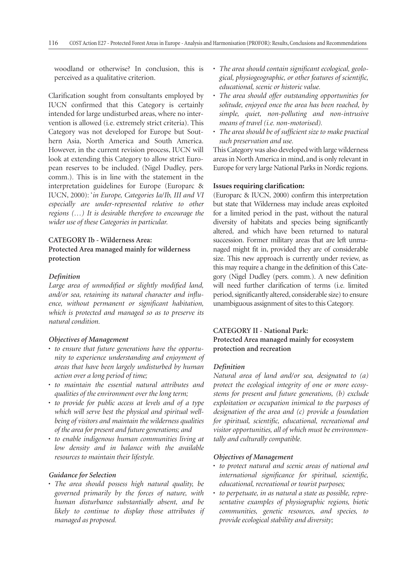woodland or otherwise? In conclusion, this is perceived as a qualitative criterion.

Clarification sought from consultants employed by IUCN confirmed that this Category is certainly intended for large undisturbed areas, where no intervention is allowed (i.e. extremely strict criteria). This Category was not developed for Europe but Southern Asia, North America and South America. However, in the current revision process, IUCN will look at extending this Category to allow strict European reserves to be included. (Nigel Dudley, pers. comm.). This is in line with the statement in the interpretation guidelines for Europe (Europarc & IUCN, 2000): '*in Europe, Categories Ia/Ib, III and VI especially are under-represented relative to other regions (…) It is desirable therefore to encourage the wider use of these Categories in particular.*

# **CATEGORY Ib - Wilderness Area: Protected Area managed mainly for wilderness protection**

## *Definition*

*Large area of unmodified or slightly modified land, and/or sea, retaining its natural character and influence, without permanent or significant habitation, which is protected and managed so as to preserve its natural condition.*

## *Objectives of Management*

- *to ensure that future generations have the opportunity to experience understanding and enjoyment of areas that have been largely undisturbed by human action over a long period of time;*
- *to maintain the essential natural attributes and qualities of the environment over the long term;*
- *to provide for public access at levels and of a type which will serve best the physical and spiritual wellbeing of visitors and maintain the wilderness qualities of the area for present and future generations; and*
- *to enable indigenous human communities living at low density and in balance with the available resources to maintain their lifestyle.*

# *Guidance for Selection*

• *The area should possess high natural quality, be governed primarily by the forces of nature, with human disturbance substantially absent, and be likely to continue to display those attributes if managed as proposed.*

- *The area should contain significant ecological, geological, physiogeographic, or other features of scientific, educational, scenic or historic value.*
- *The area should offer outstanding opportunities for solitude, enjoyed once the area has been reached, by simple, quiet, non-polluting and non-intrusive means of travel (i.e. non-motorised).*
- *The area should be of sufficient size to make practical such preservation and use.*

This Category was also developed with large wilderness areas in North America in mind, and is only relevant in Europe for very large National Parks in Nordic regions.

## **Issues requiring clarification:**

(Europarc & IUCN, 2000) confirm this interpretation but state that Wilderness may include areas exploited for a limited period in the past, without the natural diversity of habitats and species being significantly altered, and which have been returned to natural succession. Former military areas that are left unmanaged might fit in, provided they are of considerable size. This new approach is currently under review, as this may require a change in the definition of this Category (Nigel Dudley (pers. comm.). A new definition will need further clarification of terms (i.e. limited period, significantly altered, considerable size) to ensure unambiguous assignment of sites to this Category.

# **CATEGORY II - National Park: Protected Area managed mainly for ecosystem protection and recreation**

#### *Definition*

*Natural area of land and/or sea, designated to (a) protect the ecological integrity of one or more ecosystems for present and future generations, (b) exclude exploitation or occupation inimical to the purposes of designation of the area and (c) provide a foundation for spiritual, scientific, educational, recreational and visitor opportunities, all of which must be environmentally and culturally compatible.*

#### *Objectives of Management*

- *to protect natural and scenic areas of national and international significance for spiritual, scientific, educational, recreational or tourist purposes;*
- *to perpetuate, in as natural a state as possible, representative examples of physiographic regions, biotic communities, genetic resources, and species, to provide ecological stability and diversity;*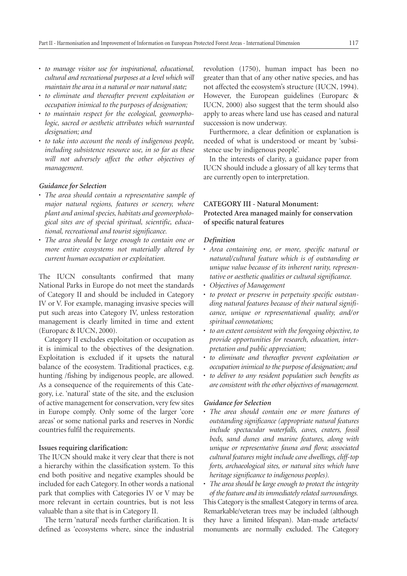- *to manage visitor use for inspirational, educational, cultural and recreational purposes at a level which will maintain the area in a natural or near natural state;*
- *to eliminate and thereafter prevent exploitation or occupation inimical to the purposes of designation;*
- *to maintain respect for the ecological, geomorphologic, sacred or aesthetic attributes which warranted designation; and*
- *to take into account the needs of indigenous people, including subsistence resource use, in so far as these will not adversely affect the other objectives of management.*

## *Guidance for Selection*

- *The area should contain a representative sample of major natural regions, features or scenery, where plant and animal species, habitats and geomorphological sites are of special spiritual, scientific, educational, recreational and tourist significance.*
- *The area should be large enough to contain one or more entire ecosystems not materially altered by current human occupation or exploitation.*

The IUCN consultants confirmed that many National Parks in Europe do not meet the standards of Category II and should be included in Category IV or V. For example, managing invasive species will put such areas into Category IV, unless restoration management is clearly limited in time and extent (Europarc & IUCN, 2000).

Category II excludes exploitation or occupation as it is inimical to the objectives of the designation. Exploitation is excluded if it upsets the natural balance of the ecosystem. Traditional practices, e.g. hunting /fishing by indigenous people, are allowed. As a consequence of the requirements of this Category, i.e. 'natural' state of the site, and the exclusion of active management for conservation, very few sites in Europe comply. Only some of the larger 'core areas' or some national parks and reserves in Nordic countries fulfil the requirements.

## **Issues requiring clarification:**

The IUCN should make it very clear that there is not a hierarchy within the classification system. To this end both positive and negative examples should be included for each Category. In other words a national park that complies with Categories IV or V may be more relevant in certain countries, but is not less valuable than a site that is in Category II.

The term 'natural' needs further clarification. It is defined as 'ecosystems where, since the industrial revolution (1750), human impact has been no greater than that of any other native species, and has not affected the ecosystem's structure (IUCN, 1994). However, the European guidelines (Europarc & IUCN, 2000) also suggest that the term should also apply to areas where land use has ceased and natural succession is now underway.

Furthermore, a clear definition or explanation is needed of what is understood or meant by 'subsistence use by indigenous people'.

In the interests of clarity, a guidance paper from IUCN should include a glossary of all key terms that are currently open to interpretation.

# **CATEGORY III - Natural Monument: Protected Area managed mainly for conservation of specific natural features**

### *Definition*

- *Area containing one, or more, specific natural or natural/cultural feature which is of outstanding or unique value because of its inherent rarity, representative or aesthetic qualities or cultural significance.*
- *Objectives of Management*
- *to protect or preserve in perpetuity specific outstanding natural features because of their natural significance, unique or representational quality, and/or spiritual connotations;*
- *to an extent consistent with the foregoing objective, to provide opportunities for research, education, interpretation and public appreciation;*
- *to eliminate and thereafter prevent exploitation or occupation inimical to the purpose of designation; and*
- *to deliver to any resident population such benefits as are consistent with the other objectives of management.*

#### *Guidance for Selection*

• *The area should contain one or more features of outstanding significance (appropriate natural features include spectacular waterfalls, caves, craters, fossil beds, sand dunes and marine features, along with unique or representative fauna and flora; associated cultural features might include cave dwellings, cliff-top forts, archaeological sites, or natural sites which have heritage significance to indigenous peoples).*

• *The area should be large enough to protect the integrity of the feature and its immediately related surroundings.* This Category is the smallest Category in terms of area. Remarkable/veteran trees may be included (although they have a limited lifespan). Man-made artefacts/ monuments are normally excluded. The Category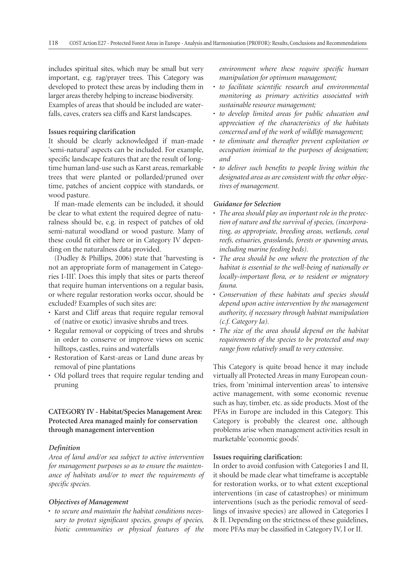includes spiritual sites, which may be small but very important, e.g. rag/prayer trees. This Category was developed to protect these areas by including them in larger areas thereby helping to increase biodiversity. Examples of areas that should be included are waterfalls, caves, craters sea cliffs and Karst landscapes.

## **Issues requiring clarification**

It should be clearly acknowledged if man-made 'semi-natural' aspects can be included. For example, specific landscape features that are the result of longtime human land-use such as Karst areas, remarkable trees that were planted or pollarded/pruned over time, patches of ancient coppice with standards, or wood pasture.

If man-made elements can be included, it should be clear to what extent the required degree of naturalness should be, e.g. in respect of patches of old semi-natural woodland or wood pasture. Many of these could fit either here or in Category IV depending on the naturalness data provided.

(Dudley & Phillips, 2006) state that 'harvesting is not an appropriate form of management in Categories I-III'. Does this imply that sites or parts thereof that require human interventions on a regular basis, or where regular restoration works occur, should be excluded? Examples of such sites are:

- Karst and Cliff areas that require regular removal of (native or exotic) invasive shrubs and trees.
- Regular removal or coppicing of trees and shrubs in order to conserve or improve views on scenic hilltops, castles, ruins and waterfalls
- Restoration of Karst-areas or Land dune areas by removal of pine plantations
- Old pollard trees that require regular tending and pruning

# **CATEGORY IV - Habitat/Species Management Area: Protected Area managed mainly for conservation through management intervention**

## *Definition*

*Area of land and/or sea subject to active intervention for management purposes so as to ensure the maintenance of habitats and/or to meet the requirements of specific species.*

## *Objectives of Management*

• *to secure and maintain the habitat conditions necessary to protect significant species, groups of species, biotic communities or physical features of the*  *environment where these require specific human manipulation for optimum management;* 

- *to facilitate scientific research and environmental monitoring as primary activities associated with sustainable resource management;*
- *to develop limited areas for public education and appreciation of the characteristics of the habitats concerned and of the work of wildlife management;*
- *to eliminate and thereafter prevent exploitation or occupation inimical to the purposes of designation; and*
- *to deliver such benefits to people living within the designated area as are consistent with the other objectives of management.*

## *Guidance for Selection*

- *The area should play an important role in the protection of nature and the survival of species, (incorporating, as appropriate, breeding areas, wetlands, coral reefs, estuaries, grasslands, forests or spawning areas, including marine feeding beds).*
- *The area should be one where the protection of the habitat is essential to the well-being of nationally or locally-important flora, or to resident or migratory fauna.*
- *Conservation of these habitats and species should depend upon active intervention by the management authority, if necessary through habitat manipulation (c.f. Category Ia).*
- *The size of the area should depend on the habitat requirements of the species to be protected and may range from relatively small to very extensive.*

This Category is quite broad hence it may include virtually all Protected Areas in many European countries, from 'minimal intervention areas' to intensive active management, with some economic revenue such as hay, timber, etc. as side products. Most of the PFAs in Europe are included in this Category. This Category is probably the clearest one, although problems arise when management activities result in marketable 'economic goods'.

## **Issues requiring clarification:**

In order to avoid confusion with Categories I and II, it should be made clear what timeframe is acceptable for restoration works, or to what extent exceptional interventions (in case of catastrophes) or minimum interventions (such as the periodic removal of seedlings of invasive species) are allowed in Categories I & II. Depending on the strictness of these guidelines, more PFAs may be classified in Category IV, I or II.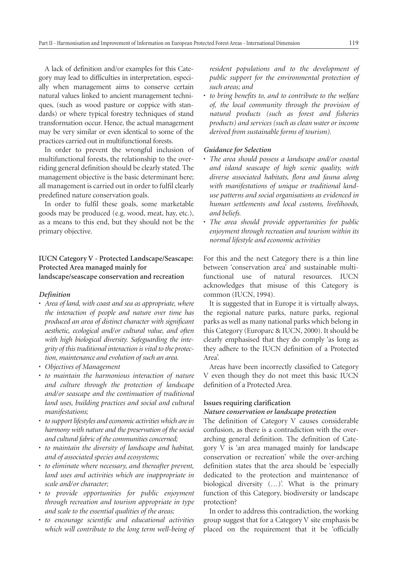A lack of definition and/or examples for this Category may lead to difficulties in interpretation, especially when management aims to conserve certain natural values linked to ancient management techniques, (such as wood pasture or coppice with standards) or where typical forestry techniques of stand transformation occur. Hence, the actual management may be very similar or even identical to some of the practices carried out in multifunctional forests.

In order to prevent the wrongful inclusion of multifunctional forests, the relationship to the overriding general definition should be clearly stated. The management objective is the basic determinant here; all management is carried out in order to fulfil clearly predefined nature conservation goals.

In order to fulfil these goals, some marketable goods may be produced (e.g. wood, meat, hay, etc.), as a means to this end, but they should not be the primary objective.

# **IUCN Category V - Protected Landscape/Seascape: Protected Area managed mainly for landscape/seascape conservation and recreation**

#### *Definition*

- *Area of land, with coast and sea as appropriate, where the interaction of people and nature over time has produced an area of distinct character with significant aesthetic, ecological and/or cultural value, and often with high biological diversity. Safeguarding the integrity of this traditional interaction is vital to the protection, maintenance and evolution of such an area.*
- *Objectives of Management*
- *to maintain the harmonious interaction of nature and culture through the protection of landscape and/or seascape and the continuation of traditional land uses, building practices and social and cultural manifestations;*
- *to support lifestyles and economic activities which are in harmony with nature and the preservation of the social and cultural fabric of the communities concerned;*
- *to maintain the diversity of landscape and habitat, and of associated species and ecosystems;*
- *to eliminate where necessary, and thereafter prevent, land uses and activities which are inappropriate in scale and/or character;*
- *to provide opportunities for public enjoyment through recreation and tourism appropriate in type and scale to the essential qualities of the areas;*
- *to encourage scientific and educational activities which will contribute to the long term well-being of*

*resident populations and to the development of public support for the environmental protection of such areas; and* 

• *to bring benefits to, and to contribute to the welfare of, the local community through the provision of natural products (such as forest and fisheries products) and services (such as clean water or income derived from sustainable forms of tourism).*

#### *Guidance for Selection*

- *The area should possess a landscape and/or coastal and island seascape of high scenic quality, with diverse associated habitats, flora and fauna along with manifestations of unique or traditional landuse patterns and social organisations as evidenced in human settlements and local customs, livelihoods, and beliefs.*
- *The area should provide opportunities for public enjoyment through recreation and tourism within its normal lifestyle and economic activities*

For this and the next Category there is a thin line between 'conservation area' and sustainable multifunctional use of natural resources. IUCN acknowledges that misuse of this Category is common (IUCN, 1994).

It is suggested that in Europe it is virtually always, the regional nature parks, nature parks, regional parks as well as many national parks which belong in this Category (Europarc & IUCN, 2000). It should be clearly emphasised that they do comply 'as long as they adhere to the IUCN definition of a Protected Area'.

Areas have been incorrectly classified to Category V even though they do not meet this basic IUCN definition of a Protected Area.

## **Issues requiring clarification**

# *Nature conservation or landscape protection*

The definition of Category V causes considerable confusion, as there is a contradiction with the overarching general definition. The definition of Category V is 'an area managed mainly for landscape conservation or recreation' while the over-arching definition states that the area should be 'especially dedicated to the protection and maintenance of biological diversity (…)'. What is the primary function of this Category, biodiversity or landscape protection?

In order to address this contradiction, the working group suggest that for a Category V site emphasis be placed on the requirement that it be 'officially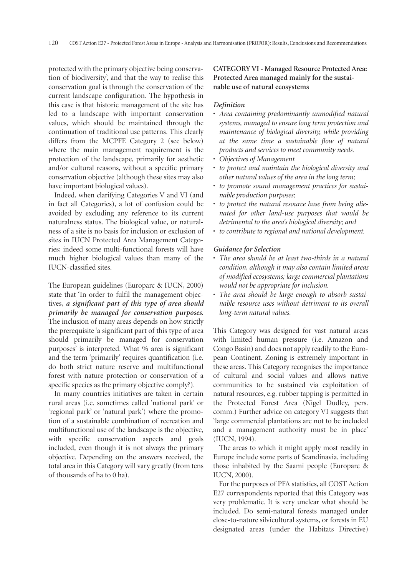protected with the primary objective being conservation of biodiversity', and that the way to realise this conservation goal is through the conservation of the current landscape configuration. The hypothesis in this case is that historic management of the site has led to a landscape with important conservation values, which should be maintained through the continuation of traditional use patterns. This clearly differs from the MCPFE Category 2 (see below) where the main management requirement is the protection of the landscape, primarily for aesthetic and/or cultural reasons, without a specific primary conservation objective (although these sites may also have important biological values).

Indeed, when clarifying Categories V and VI (and in fact all Categories), a lot of confusion could be avoided by excluding any reference to its current naturalness status. The biological value, or naturalness of a site is no basis for inclusion or exclusion of sites in IUCN Protected Area Management Categories; indeed some multi-functional forests will have much higher biological values than many of the IUCN-classified sites.

The European guidelines (Europarc & IUCN, 2000) state that 'In order to fulfil the management objectives, *a significant part of this type of area should primarily be managed for conservation purposes.* The inclusion of many areas depends on how strictly the prerequisite 'a significant part of this type of area should primarily be managed for conservation purposes' is interpreted. What % area is significant and the term 'primarily' requires quantification (i.e. do both strict nature reserve and multifunctional forest with nature protection or conservation of a specific species as the primary objective comply?).

In many countries initiatives are taken in certain rural areas (i.e. sometimes called 'national park' or 'regional park' or 'natural park') where the promotion of a sustainable combination of recreation and multifunctional use of the landscape is the objective, with specific conservation aspects and goals included, even though it is not always the primary objective. Depending on the answers received, the total area in this Category will vary greatly (from tens of thousands of ha to 0 ha).

**CATEGORY VI - Managed Resource Protected Area: Protected Area managed mainly for the sustainable use of natural ecosystems** 

#### *Definition*

- *Area containing predominantly unmodified natural systems, managed to ensure long term protection and maintenance of biological diversity, while providing at the same time a sustainable flow of natural products and services to meet community needs.*
- *Objectives of Management*
- *to protect and maintain the biological diversity and other natural values of the area in the long term;*
- *to promote sound management practices for sustainable production purposes;*
- *to protect the natural resource base from being alienated for other land-use purposes that would be detrimental to the area's biological diversity; and*
- *to contribute to regional and national development.*

#### *Guidance for Selection*

- *The area should be at least two-thirds in a natural condition, although it may also contain limited areas of modified ecosystems; large commercial plantations would not be appropriate for inclusion.*
- *The area should be large enough to absorb sustainable resource uses without detriment to its overall long-term natural values.*

This Category was designed for vast natural areas with limited human pressure (i.e. Amazon and Congo Basin) and does not apply readily to the European Continent. Zoning is extremely important in these areas. This Category recognises the importance of cultural and social values and allows native communities to be sustained via exploitation of natural resources, e.g. rubber tapping is permitted in the Protected Forest Area (Nigel Dudley, pers. comm.) Further advice on category VI suggests that 'large commercial plantations are not to be included and a management authority must be in place' (IUCN, 1994).

The areas to which it might apply most readily in Europe include some parts of Scandinavia, including those inhabited by the Saami people (Europarc & IUCN, 2000).

For the purposes of PFA statistics, all COST Action E27 correspondents reported that this Category was very problematic. It is very unclear what should be included. Do semi-natural forests managed under close-to-nature silvicultural systems, or forests in EU designated areas (under the Habitats Directive)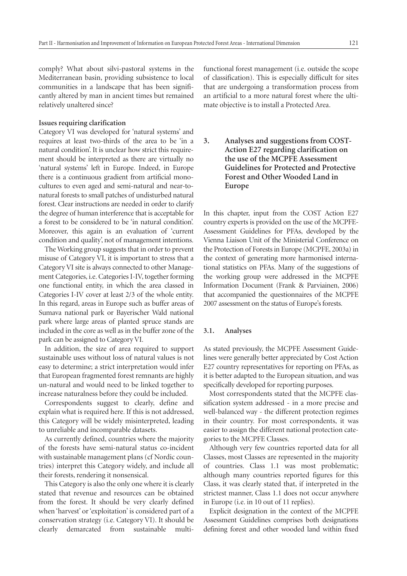comply? What about silvi-pastoral systems in the Mediterranean basin, providing subsistence to local communities in a landscape that has been significantly altered by man in ancient times but remained relatively unaltered since?

## **Issues requiring clarification**

Category VI was developed for 'natural systems' and requires at least two-thirds of the area to be 'in a natural condition'. It is unclear how strict this requirement should be interpreted as there are virtually no 'natural systems' left in Europe. Indeed, in Europe there is a continuous gradient from artificial monocultures to even aged and semi-natural and near-tonatural forests to small patches of undisturbed natural forest. Clear instructions are needed in order to clarify the degree of human interference that is acceptable for a forest to be considered to be 'in natural condition'. Moreover, this again is an evaluation of 'current condition and quality', not of management intentions.

The Working group suggests that in order to prevent misuse of Category VI, it is important to stress that a Category VI site is always connected to other Management Categories, i.e. Categories I-IV, together forming one functional entity, in which the area classed in Categories I-IV cover at least 2/3 of the whole entity. In this regard, areas in Europe such as buffer areas of Sumava national park or Bayerischer Wald national park where large areas of planted spruce stands are included in the core as well as in the buffer zone of the park can be assigned to Category VI.

In addition, the size of area required to support sustainable uses without loss of natural values is not easy to determine; a strict interpretation would infer that European fragmented forest remnants are highly un-natural and would need to be linked together to increase naturalness before they could be included.

Correspondents suggest to clearly, define and explain what is required here. If this is not addressed, this Category will be widely misinterpreted, leading to unreliable and incomparable datasets.

As currently defined, countries where the majority of the forests have semi-natural status co-incident with sustainable management plans (cf Nordic countries) interpret this Category widely, and include all their forests, rendering it nonsensical.

This Category is also the only one where it is clearly stated that revenue and resources can be obtained from the forest. It should be very clearly defined when 'harvest' or 'exploitation' is considered part of a conservation strategy (i.e. Category VI). It should be clearly demarcated from sustainable multifunctional forest management (i.e. outside the scope of classification). This is especially difficult for sites that are undergoing a transformation process from an artificial to a more natural forest where the ultimate objective is to install a Protected Area.

**3. Analyses and suggestions from COST-Action E27 regarding clarification on the use of the MCPFE Assessment Guidelines for Protected and Protective Forest and Other Wooded Land in Europe**

In this chapter, input from the COST Action E27 country experts is provided on the use of the MCPFE-Assessment Guidelines for PFAs, developed by the Vienna Liaison Unit of the Ministerial Conference on the Protection of Forests in Europe (MCPFE, 2003a) in the context of generating more harmonised international statistics on PFAs. Many of the suggestions of the working group were addressed in the MCPFE Information Document (Frank & Parviainen, 2006) that accompanied the questionnaires of the MCPFE 2007 assessment on the status of Europe's forests.

#### **3.1. Analyses**

As stated previously, the MCPFE Assessment Guidelines were generally better appreciated by Cost Action E27 country representatives for reporting on PFAs, as it is better adapted to the European situation, and was specifically developed for reporting purposes.

Most correspondents stated that the MCPFE classification system addressed - in a more precise and well-balanced way - the different protection regimes in their country. For most correspondents, it was easier to assign the different national protection categories to the MCPFE Classes.

Although very few countries reported data for all Classes, most Classes are represented in the majority of countries. Class 1.1 was most problematic; although many countries reported figures for this Class, it was clearly stated that, if interpreted in the strictest manner, Class 1.1 does not occur anywhere in Europe (i.e. in 10 out of 11 replies).

Explicit designation in the context of the MCPFE Assessment Guidelines comprises both designations defining forest and other wooded land within fixed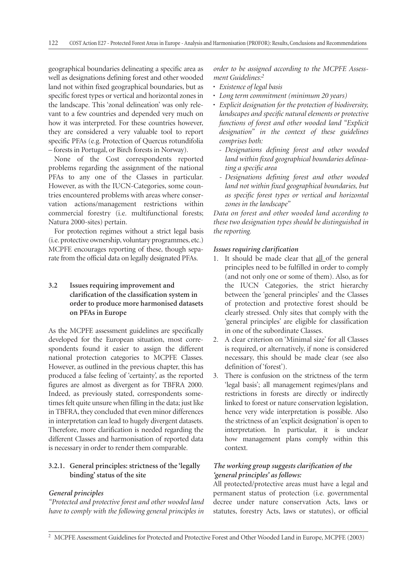geographical boundaries delineating a specific area as well as designations defining forest and other wooded land not within fixed geographical boundaries, but as specific forest types or vertical and horizontal zones in the landscape. This 'zonal delineation' was only relevant to a few countries and depended very much on how it was interpreted. For these countries however, they are considered a very valuable tool to report specific PFAs (e.g. Protection of Quercus rotundifolia – forests in Portugal, or Birch forests in Norway).

None of the Cost correspondents reported problems regarding the assignment of the national PFAs to any one of the Classes in particular. However, as with the IUCN-Categories, some countries encountered problems with areas where conservation actions/management restrictions within commercial forestry (i.e. multifunctional forests; Natura 2000-sites) pertain.

For protection regimes without a strict legal basis (i.e. protective ownership, voluntary programmes, etc.) MCPFE encourages reporting of these, though separate from the official data on legally designated PFAs.

# **3.2 Issues requiring improvement and clarification of the classification system in order to produce more harmonised datasets on PFAs in Europe**

As the MCPFE assessment guidelines are specifically developed for the European situation, most correspondents found it easier to assign the different national protection categories to MCPFE Classes. However, as outlined in the previous chapter, this has produced a false feeling of 'certainty', as the reported figures are almost as divergent as for TBFRA 2000. Indeed, as previously stated, correspondents sometimes felt quite unsure when filling in the data; just like in TBFRA, they concluded that even minor differences in interpretation can lead to hugely divergent datasets. Therefore, more clarification is needed regarding the different Classes and harmonisation of reported data is necessary in order to render them comparable.

# **3.2.1. General principles: strictness of the 'legally binding' status of the site**

## *General principles*

*"Protected and protective forest and other wooded land have to comply with the following general principles in* *order to be assigned according to the MCPFE Assessment Guidelines:<sup>2</sup>*

- *Existence of legal basis*
- *Long term commitment (minimum 20 years)*
- *Explicit designation for the protection of biodiversity, landscapes and specific natural elements or protective functions of forest and other wooded land "Explicit designation" in the context of these guidelines comprises both:*
	- *Designations defining forest and other wooded land within fixed geographical boundaries delineating a specific area*
	- *Designations defining forest and other wooded land not within fixed geographical boundaries, but as specific forest types or vertical and horizontal zones in the landscape"*

*Data on forest and other wooded land according to these two designation types should be distinguished in the reporting.*

#### *Issues requiring clarification*

- 1. It should be made clear that all of the general principles need to be fulfilled in order to comply (and not only one or some of them). Also, as for the IUCN Categories, the strict hierarchy between the 'general principles' and the Classes of protection and protective forest should be clearly stressed. Only sites that comply with the 'general principles' are eligible for classification in one of the subordinate Classes.
- 2. A clear criterion on 'Minimal size' for all Classes is required, or alternatively, if none is considered necessary, this should be made clear (see also definition of 'forest').
- 3. There is confusion on the strictness of the term 'legal basis'; all management regimes/plans and restrictions in forests are directly or indirectly linked to forest or nature conservation legislation, hence very wide interpretation is possible. Also the strictness of an 'explicit designation' is open to interpretation. In particular, it is unclear how management plans comply within this context.

# *The working group suggests clarification of the 'general principles' as follows:*

All protected/protective areas must have a legal and permanent status of protection (i.e. governmental decree under nature conservation Acts, laws or statutes, forestry Acts, laws or statutes), or official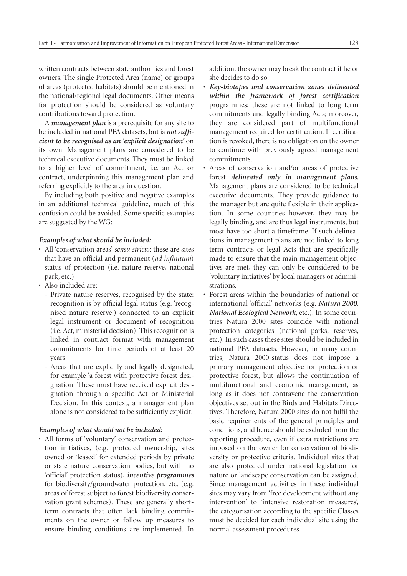written contracts between state authorities and forest owners. The single Protected Area (name) or groups of areas (protected habitats) should be mentioned in the national/regional legal documents. Other means for protection should be considered as voluntary contributions toward protection.

A *management plan* is a prerequisite for any site to be included in national PFA datasets, but is *not sufficient to be recognised as an 'explicit designation'* on its own. Management plans are considered to be technical executive documents. They must be linked to a higher level of commitment, i.e. an Act or contract, underpinning this management plan and referring explicitly to the area in question.

By including both positive and negative examples in an additional technical guideline, much of this confusion could be avoided. Some specific examples are suggested by the WG:

### *Examples of what should be included:*

- All 'conservation areas' *sensu stricto*: these are sites that have an official and permanent (*ad infinitum*) status of protection (i.e. nature reserve, national park, etc.)
- Also included are:
	- *-* Private nature reserves, recognised by the state: recognition is by official legal status (e.g. 'recognised nature reserve') connected to an explicit legal instrument or document of recognition (i.e. Act, ministerial decision). This recognition is linked in contract format with management commitments for time periods of at least 20 years
	- *-* Areas that are explicitly and legally designated, for example 'a forest with protective forest designation. These must have received explicit designation through a specific Act or Ministerial Decision. In this context, a management plan alone is not considered to be sufficiently explicit.

## *Examples of what should not be included:*

• All forms of 'voluntary' conservation and protection initiatives, (e.g. protected ownership, sites owned or 'leased' for extended periods by private or state nature conservation bodies, but with no 'official' protection status), *incentive programmes* for biodiversity/groundwater protection, etc. (e.g. areas of forest subject to forest biodiversity conservation grant schemes). These are generally shortterm contracts that often lack binding commitments on the owner or follow up measures to ensure binding conditions are implemented. In

addition, the owner may break the contract if he or she decides to do so.

- *Key-biotopes and conservation zones delineated within the framework of forest certification* programmes; these are not linked to long term commitments and legally binding Acts; moreover, they are considered part of multifunctional management required for certification. If certification is revoked, there is no obligation on the owner to continue with previously agreed management commitments.
- Areas of conservation and/or areas of protective forest *delineated only in management plans.* Management plans are considered to be technical executive documents. They provide guidance to the manager but are quite flexible in their application. In some countries however, they may be legally binding, and are thus legal instruments, but most have too short a timeframe. If such delineations in management plans are not linked to long term contracts or legal Acts that are specifically made to ensure that the main management objectives are met, they can only be considered to be 'voluntary initiatives' by local managers or administrations.
- Forest areas within the boundaries of national or international 'official' networks (e.g. *Natura 2000, National Ecological Network,* etc.). In some countries Natura 2000 sites coincide with national protection categories (national parks, reserves, etc.). In such cases these sites should be included in national PFA datasets. However, in many countries, Natura 2000-status does not impose a primary management objective for protection or protective forest, but allows the continuation of multifunctional and economic management, as long as it does not contravene the conservation objectives set out in the Birds and Habitats Directives. Therefore, Natura 2000 sites do not fulfil the basic requirements of the general principles and conditions, and hence should be excluded from the reporting procedure, even if extra restrictions are imposed on the owner for conservation of biodiversity or protective criteria. Individual sites that are also protected under national legislation for nature or landscape conservation can be assigned. Since management activities in these individual sites may vary from 'free development without any intervention' to 'intensive restoration measures', the categorisation according to the specific Classes must be decided for each individual site using the normal assessment procedures.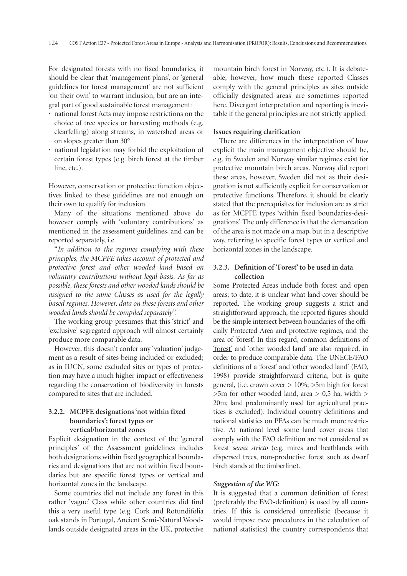For designated forests with no fixed boundaries, it should be clear that 'management plans', or 'general guidelines for forest management' are not sufficient 'on their own' to warrant inclusion, but are an integral part of good sustainable forest management:

- national forest Acts may impose restrictions on the choice of tree species or harvesting methods (e.g. clearfelling) along streams, in watershed areas or on slopes greater than 30°
- national legislation may forbid the exploitation of certain forest types (e.g. birch forest at the timber line, etc.).

However, conservation or protective function objectives linked to these guidelines are not enough on their own to qualify for inclusion.

Many of the situations mentioned above do however comply with 'voluntary contributions' as mentioned in the assessment guidelines, and can be reported separately, i.e.

"*In addition to the regimes complying with these principles, the MCPFE takes account of protected and protective forest and other wooded land based on voluntary contributions without legal basis. As far as possible, these forests and other wooded lands should be assigned to the same Classes as used for the legally based regimes. However, data on these forests and other wooded lands should be compiled separately".*

The working group presumes that this 'strict' and 'exclusive' segregated approach will almost certainly produce more comparable data.

However, this doesn't confer any 'valuation' judgement as a result of sites being included or excluded; as in IUCN, some excluded sites or types of protection may have a much higher impact or effectiveness regarding the conservation of biodiversity in forests compared to sites that are included.

# **3.2.2. MCPFE designations 'not within fixed boundaries': forest types or vertical/horizontal zones**

Explicit designation in the context of the 'general principles' of the Assessment guidelines includes both designations within fixed geographical boundaries and designations that are not within fixed boundaries but are specific forest types or vertical and horizontal zones in the landscape.

Some countries did not include any forest in this rather 'vague' Class while other countries did find this a very useful type (e.g. Cork and Rotundifolia oak stands in Portugal, Ancient Semi-Natural Woodlands outside designated areas in the UK, protective mountain birch forest in Norway, etc.). It is debateable, however, how much these reported Classes comply with the general principles as sites outside officially designated areas' are sometimes reported here. Divergent interpretation and reporting is inevitable if the general principles are not strictly applied.

#### **Issues requiring clarification**

There are differences in the interpretation of how explicit the main management objective should be, e.g. in Sweden and Norway similar regimes exist for protective mountain birch areas. Norway did report these areas, however, Sweden did not as their designation is not sufficiently explicit for conservation or protective functions. Therefore, it should be clearly stated that the prerequisites for inclusion are as strict as for MCPFE types 'within fixed boundaries-designations'. The only difference is that the demarcation of the area is not made on a map, but in a descriptive way, referring to specific forest types or vertical and horizontal zones in the landscape.

# **3.2.3. Definition of 'Forest' to be used in data collection**

Some Protected Areas include both forest and open areas; to date, it is unclear what land cover should be reported. The working group suggests a strict and straightforward approach; the reported figures should be the simple intersect between boundaries of the officially Protected Area and protective regimes, and the area of 'forest'. In this regard, common definitions of 'forest' and 'other wooded land' are also required, in order to produce comparable data. The UNECE/FAO definitions of a 'forest' and 'other wooded land' (FAO, 1998) provide straightforward criteria, but is quite general, (i.e. crown cover  $> 10\%$ ;  $>5m$  high for forest  $>5m$  for other wooded land, area  $> 0.5$  ha, width  $>$ 20m; land predominantly used for agricultural practices is excluded). Individual country definitions and national statistics on PFAs can be much more restrictive. At national level some land cover areas that comply with the FAO definition are not considered as forest *sensu stricto* (e.g. mires and heathlands with dispersed trees, non-productive forest such as dwarf birch stands at the timberline).

#### *Suggestion of the WG:*

It is suggested that a common definition of forest (preferably the FAO-definition) is used by all countries. If this is considered unrealistic (because it would impose new procedures in the calculation of national statistics) the country correspondents that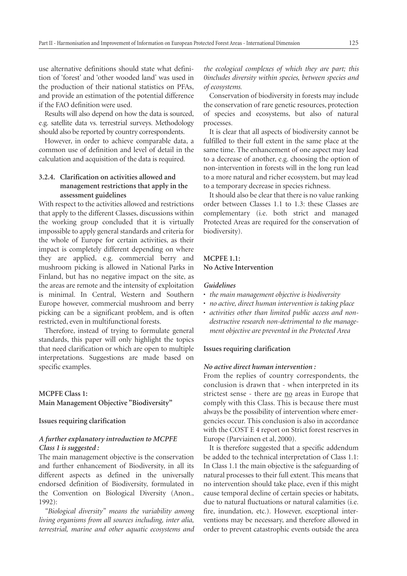use alternative definitions should state what definition of 'forest' and 'other wooded land' was used in the production of their national statistics on PFAs, and provide an estimation of the potential difference if the FAO definition were used.

Results will also depend on how the data is sourced, e.g. satellite data vs. terrestrial surveys. Methodology should also be reported by country correspondents.

However, in order to achieve comparable data, a common use of definition and level of detail in the calculation and acquisition of the data is required.

# **3.2.4. Clarification on activities allowed and management restrictions that apply in the assessment guidelines**

With respect to the activities allowed and restrictions that apply to the different Classes, discussions within the working group concluded that it is virtually impossible to apply general standards and criteria for the whole of Europe for certain activities, as their impact is completely different depending on where they are applied, e.g. commercial berry and mushroom picking is allowed in National Parks in Finland, but has no negative impact on the site, as the areas are remote and the intensity of exploitation is minimal. In Central, Western and Southern Europe however, commercial mushroom and berry picking can be a significant problem, and is often restricted, even in multifunctional forests.

Therefore, instead of trying to formulate general standards, this paper will only highlight the topics that need clarification or which are open to multiple interpretations. Suggestions are made based on specific examples.

## **MCPFE Class 1:**

**Main Management Objective "Biodiversity"**

**Issues requiring clarification**

# *A further explanatory introduction to MCPFE Class 1 is suggested :*

The main management objective is the conservation and further enhancement of Biodiversity, in all its different aspects as defined in the universally endorsed definition of Biodiversity, formulated in the Convention on Biological Diversity (Anon., 1992):

*"Biological diversity" means the variability among living organisms from all sources including, inter alia, terrestrial, marine and other aquatic ecosystems and*

*the ecological complexes of which they are part; this 0includes diversity within species, between species and of ecosystems.*

Conservation of biodiversity in forests may include the conservation of rare genetic resources, protection of species and ecosystems, but also of natural processes.

It is clear that all aspects of biodiversity cannot be fulfilled to their full extent in the same place at the same time. The enhancement of one aspect may lead to a decrease of another, e.g. choosing the option of non-intervention in forests will in the long run lead to a more natural and richer ecosystem, but may lead to a temporary decrease in species richness.

It should also be clear that there is no value ranking order between Classes 1.1 to 1.3: these Classes are complementary (i.e. both strict and managed Protected Areas are required for the conservation of biodiversity).

# **MCPFE 1.1: No Active Intervention**

#### *Guidelines*

- *the main management objective is biodiversity*
- *no active, direct human intervention is taking place*
- *activities other than limited public access and nondestructive research non-detrimental to the management objective are prevented in the Protected Area*

## **Issues requiring clarification**

#### *No active direct human intervention :*

From the replies of country correspondents, the conclusion is drawn that - when interpreted in its strictest sense - there are no areas in Europe that comply with this Class. This is because there must always be the possibility of intervention where emergencies occur. This conclusion is also in accordance with the COST E 4 report on Strict forest reserves in Europe (Parviainen et al, 2000).

It is therefore suggested that a specific addendum be added to the technical interpretation of Class 1.1: In Class 1.1 the main objective is the safeguarding of natural processes to their full extent. This means that no intervention should take place, even if this might cause temporal decline of certain species or habitats, due to natural fluctuations or natural calamities (i.e. fire, inundation, etc.). However, exceptional interventions may be necessary, and therefore allowed in order to prevent catastrophic events outside the area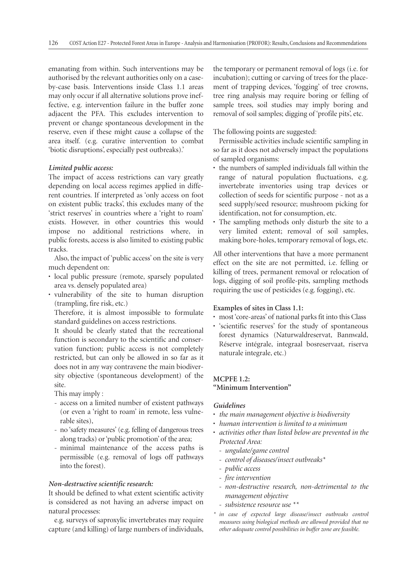emanating from within. Such interventions may be authorised by the relevant authorities only on a caseby-case basis. Interventions inside Class 1.1 areas may only occur if all alternative solutions prove ineffective, e.g. intervention failure in the buffer zone adjacent the PFA. This excludes intervention to prevent or change spontaneous development in the reserve, even if these might cause a collapse of the area itself. (e.g. curative intervention to combat 'biotic disruptions', especially pest outbreaks).'

## *Limited public access:*

The impact of access restrictions can vary greatly depending on local access regimes applied in different countries. If interpreted as 'only access on foot on existent public tracks', this excludes many of the 'strict reserves' in countries where a 'right to roam' exists. However, in other countries this would impose no additional restrictions where, in public forests, access is also limited to existing public tracks.

Also, the impact of 'public access' on the site is very much dependent on:

- local public pressure (remote, sparsely populated area vs. densely populated area)
- vulnerability of the site to human disruption (trampling, fire risk, etc.)

Therefore, it is almost impossible to formulate standard guidelines on access restrictions.

It should be clearly stated that the recreational function is secondary to the scientific and conservation function; public access is not completely restricted, but can only be allowed in so far as it does not in any way contravene the main biodiversity objective (spontaneous development) of the site.

This may imply :

- access on a limited number of existent pathways (or even a 'right to roam' in remote, less vulnerable sites),
- no 'safety measures' (e.g. felling of dangerous trees along tracks) or 'public promotion' of the area;
- minimal maintenance of the access paths is permissible (e.g. removal of logs off pathways into the forest).

#### *Non-destructive scientific research:*

It should be defined to what extent scientific activity is considered as not having an adverse impact on natural processes:

e.g. surveys of saproxylic invertebrates may require capture (and killing) of large numbers of individuals, the temporary or permanent removal of logs (i.e. for incubation); cutting or carving of trees for the placement of trapping devices, 'fogging' of tree crowns, tree ring analysis may require boring or felling of sample trees, soil studies may imply boring and removal of soil samples; digging of 'profile pits', etc.

The following points are suggested:

Permissible activities include scientific sampling in so far as it does not adversely impact the populations of sampled organisms:

- the numbers of sampled individuals fall within the range of natural population fluctuations, e.g. invertebrate inventories using trap devices or collection of seeds for scientific purpose - not as a seed supply/seed resource; mushroom picking for identification, not for consumption, etc.
- The sampling methods only disturb the site to a very limited extent; removal of soil samples, making bore-holes, temporary removal of logs, etc.

All other interventions that have a more permanent effect on the site are not permitted, i.e. felling or killing of trees, permanent removal or relocation of logs, digging of soil profile-pits, sampling methods requiring the use of pesticides (e.g. fogging), etc.

## **Examples of sites in Class 1.1:**

- most 'core-areas' of national parks fit into this Class
- 'scientific reserves' for the study of spontaneous forest dynamics (Naturwaldreservat, Bannwald, Réserve intégrale, integraal bosreservaat, riserva naturale integrale, etc.)

# **MCPFE 1.2: "Minimum Intervention"**

## *Guidelines*

- *the main management objective is biodiversity*
- *human intervention is limited to a minimum*
- *activities other than listed below are prevented in the Protected Area:* 
	- *ungulate/game control*
	- *control of diseases/insect outbreaks\**
	- *public access*
	- *fire intervention*
	- *non-destructive research, non-detrimental to the management objective*
	- *subsistence resource use \*\**
- *in case of expected large disease/insect outbreaks control measures using biological methods are allowed provided that no other adequate control possibilities in buffer zone are feasible.*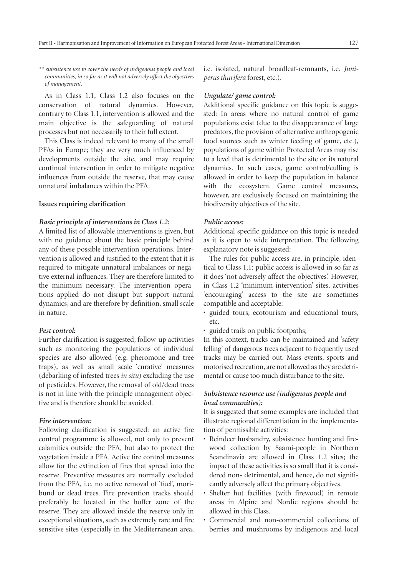*\*\* subsistence use to cover the needs of indigenous people and local communities, in so far as it will not adversely affect the objectives of management.*

As in Class 1.1, Class 1.2 also focuses on the conservation of natural dynamics. However, contrary to Class 1.1, intervention is allowed and the main objective is the safeguarding of natural processes but not necessarily to their full extent.

This Class is indeed relevant to many of the small PFAs in Europe; they are very much influenced by developments outside the site, and may require continual intervention in order to mitigate negative influences from outside the reserve, that may cause unnatural imbalances within the PFA.

#### **Issues requiring clarification**

## *Basic principle of interventions in Class 1.2:*

A limited list of allowable interventions is given, but with no guidance about the basic principle behind any of these possible intervention operations. Intervention is allowed and justified to the extent that it is required to mitigate unnatural imbalances or negative external influences. They are therefore limited to the minimum necessary. The intervention operations applied do not disrupt but support natural dynamics, and are therefore by definition, small scale in nature.

#### *Pest control:*

Further clarification is suggested; follow-up activities such as monitoring the populations of individual species are also allowed (e.g. pheromone and tree traps), as well as small scale 'curative' measures (debarking of infested trees *in situ*) excluding the use of pesticides. However, the removal of old/dead trees is not in line with the principle management objective and is therefore should be avoided.

#### *Fire intervention:*

Following clarification is suggested: an active fire control programme is allowed, not only to prevent calamities outside the PFA, but also to protect the vegetation inside a PFA. Active fire control measures allow for the extinction of fires that spread into the reserve. Preventive measures are normally excluded from the PFA, i.e. no active removal of 'fuel', moribund or dead trees. Fire prevention tracks should preferably be located in the buffer zone of the reserve. They are allowed inside the reserve only in exceptional situations, such as extremely rare and fire sensitive sites (especially in the Mediterranean area,

i.e. isolated, natural broadleaf-remnants, i.e. *Juniperus thurifera* forest, etc.).

#### *Ungulate/ game control:*

Additional specific guidance on this topic is suggested: In areas where no natural control of game populations exist (due to the disappearance of large predators, the provision of alternative anthropogenic food sources such as winter feeding of game, etc.), populations of game within Protected Areas may rise to a level that is detrimental to the site or its natural dynamics. In such cases, game control/culling is allowed in order to keep the population in balance with the ecosystem. Game control measures, however, are exclusively focused on maintaining the biodiversity objectives of the site.

## *Public access:*

Additional specific guidance on this topic is needed as it is open to wide interpretation. The following explanatory note is suggested:

The rules for public access are, in principle, identical to Class 1.1: public access is allowed in so far as it does 'not adversely affect the objectives'. However, in Class 1.2 'minimum intervention' sites, activities 'encouraging' access to the site are sometimes compatible and acceptable:

- guided tours, ecotourism and educational tours, etc.
- guided trails on public footpaths;

In this context, tracks can be maintained and 'safety felling' of dangerous trees adjacent to frequently used tracks may be carried out. Mass events, sports and motorised recreation, are not allowed as they are detrimental or cause too much disturbance to the site.

# *Subsistence resource use (indigenous people and local communities):*

It is suggested that some examples are included that illustrate regional differentiation in the implementation of permissible activities:

- Reindeer husbandry, subsistence hunting and firewood collection by Saami-people in Northern Scandinavia are allowed in Class 1.2 sites; the impact of these activities is so small that it is considered non- detrimental, and hence, do not significantly adversely affect the primary objectives.
- Shelter hut facilities (with firewood) in remote areas in Alpine and Nordic regions should be allowed in this Class.
- Commercial and non-commercial collections of berries and mushrooms by indigenous and local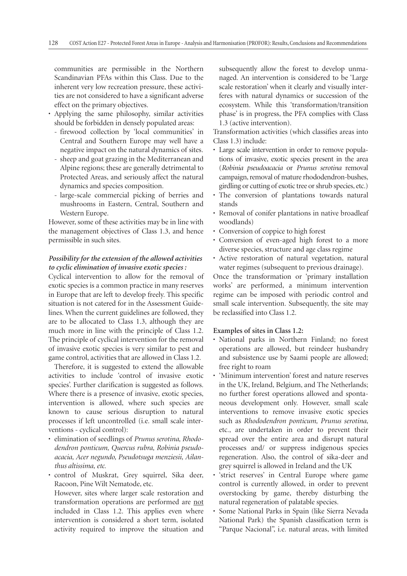communities are permissible in the Northern Scandinavian PFAs within this Class. Due to the inherent very low recreation pressure, these activities are not considered to have a significant adverse effect on the primary objectives.

- Applying the same philosophy, similar activities should be forbidden in densely populated areas:
	- firewood collection by 'local communities' in Central and Southern Europe may well have a negative impact on the natural dynamics of sites.
	- sheep and goat grazing in the Mediterranean and Alpine regions; these are generally detrimental to Protected Areas, and seriously affect the natural dynamics and species composition.
	- large-scale commercial picking of berries and mushrooms in Eastern, Central, Southern and Western Europe.

However, some of these activities may be in line with the management objectives of Class 1.3, and hence permissible in such sites.

# *Possibility for the extension of the allowed activities to cyclic elimination of invasive exotic species :*

Cyclical intervention to allow for the removal of exotic species is a common practice in many reserves in Europe that are left to develop freely. This specific situation is not catered for in the Assessment Guidelines. When the current guidelines are followed, they are to be allocated to Class 1.3, although they are much more in line with the principle of Class 1.2. The principle of cyclical intervention for the removal of invasive exotic species is very similar to pest and game control, activities that are allowed in Class 1.2.

Therefore, it is suggested to extend the allowable activities to include 'control of invasive exotic species'. Further clarification is suggested as follows. Where there is a presence of invasive, exotic species, intervention is allowed, where such species are known to cause serious disruption to natural processes if left uncontrolled (i.e. small scale interventions - cyclical control):

- elimination of seedlings of *Prunus serotina, Rhododendron ponticum, Quercus rubra, Robinia pseudoacacia, Acer negundo, Pseudotsuga menziesii, Ailanthus altissima, etc.*
- control of Muskrat, Grey squirrel, Sika deer, Racoon, Pine Wilt Nematode, etc.

However, sites where larger scale restoration and transformation operations are performed are not included in Class 1.2. This applies even where intervention is considered a short term, isolated activity required to improve the situation and

subsequently allow the forest to develop unmanaged. An intervention is considered to be 'Large scale restoration' when it clearly and visually interferes with natural dynamics or succession of the ecosystem. While this 'transformation/transition phase' is in progress, the PFA complies with Class 1.3 (active intervention).

Transformation activities (which classifies areas into Class 1.3) include:

- Large scale intervention in order to remove populations of invasive, exotic species present in the area (*Robinia pseudoacacia* or *Prunus serotina* removal campaign, removal of mature rhododendron-bushes, girdling or cutting of exotic tree or shrub species, etc.)
- The conversion of plantations towards natural stands
- Removal of conifer plantations in native broadleaf woodlands)
- Conversion of coppice to high forest
- Conversion of even-aged high forest to a more diverse species, structure and age class regime
- Active restoration of natural vegetation, natural water regimes (subsequent to previous drainage).

Once the transformation or 'primary installation works' are performed, a minimum intervention regime can be imposed with periodic control and small scale intervention. Subsequently, the site may be reclassified into Class 1.2.

#### **Examples of sites in Class 1.2:**

- National parks in Northern Finland; no forest operations are allowed, but reindeer husbandry and subsistence use by Saami people are allowed; free right to roam
- 'Minimum intervention' forest and nature reserves in the UK, Ireland, Belgium, and The Netherlands; no further forest operations allowed and spontaneous development only. However, small scale interventions to remove invasive exotic species such as *Rhododendron ponticum, Prunus serotina*, etc., are undertaken in order to prevent their spread over the entire area and disrupt natural processes and/ or suppress indigenous species regeneration. Also, the control of sika-deer and grey squirrel is allowed in Ireland and the UK
- 'strict reserves' in Central Europe where game control is currently allowed, in order to prevent overstocking by game, thereby disturbing the natural regeneration of palatable species.
- Some National Parks in Spain (like Sierra Nevada National Park) the Spanish classification term is "Parque Nacional", i.e. natural areas, with limited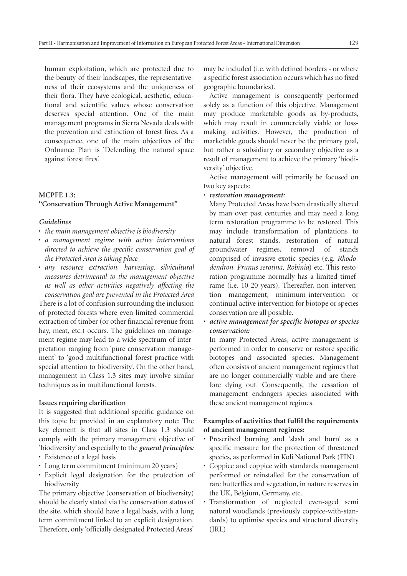human exploitation, which are protected due to the beauty of their landscapes, the representativeness of their ecosystems and the uniqueness of their flora. They have ecological, aesthetic, educational and scientific values whose conservation deserves special attention. One of the main management programs in Sierra Nevada deals with the prevention and extinction of forest fires. As a consequence, one of the main objectives of the Ordnance Plan is 'Defending the natural space against forest fires'.

## **MCPFE 1.3:**

## **"Conservation Through Active Management"**

# *Guidelines*

- *the main management objective is biodiversity*
- *a management regime with active interventions directed to achieve the specific conservation goal of the Protected Area is taking place*
- *any resource extraction, harvesting, silvicultural measures detrimental to the management objective as well as other activities negatively affecting the conservation goal are prevented in the Protected Area*

There is a lot of confusion surrounding the inclusion of protected forests where even limited commercial extraction of timber (or other financial revenue from hay, meat, etc.) occurs. The guidelines on management regime may lead to a wide spectrum of interpretation ranging from 'pure conservation management' to 'good multifunctional forest practice with special attention to biodiversity'. On the other hand, management in Class 1.3 sites may involve similar techniques as in multifunctional forests.

#### **Issues requiring clarification**

It is suggested that additional specific guidance on this topic be provided in an explanatory note: The key element is that all sites in Class 1.3 should comply with the primary management objective of 'biodiversity' and especially to the *general principles:*

- Existence of a legal basis
- Long term commitment (minimum 20 years)
- Explicit legal designation for the protection of biodiversity

The primary objective (conservation of biodiversity) should be clearly stated via the conservation status of the site, which should have a legal basis, with a long term commitment linked to an explicit designation. Therefore, only 'officially designated Protected Areas'

may be included (i.e. with defined borders - or where a specific forest association occurs which has no fixed geographic boundaries).

Active management is consequently performed solely as a function of this objective. Management may produce marketable goods as by-products, which may result in commercially viable or lossmaking activities. However, the production of marketable goods should never be the primary goal, but rather a subsidiary or secondary objective as a result of management to achieve the primary 'biodiversity' objective.

Active management will primarily be focused on two key aspects:

#### • *restoration management:*

Many Protected Areas have been drastically altered by man over past centuries and may need a long term restoration programme to be restored. This may include transformation of plantations to natural forest stands, restoration of natural groundwater regimes, removal of stands comprised of invasive exotic species (e.g. *Rhododendron, Prunus serotina, Robinia*) etc. This restoration programme normally has a limited timeframe (i.e. 10-20 years). Thereafter, non-intervention management, minimum-intervention or continual active intervention for biotope or species conservation are all possible.

• *active management for specific biotopes or species conservation:*

In many Protected Areas, active management is performed in order to conserve or restore specific biotopes and associated species. Management often consists of ancient management regimes that are no longer commercially viable and are therefore dying out. Consequently, the cessation of management endangers species associated with these ancient management regimes.

# **Examples of activities that fulfil the requirements of ancient management regimes:**

- Prescribed burning and 'slash and burn' as a specific measure for the protection of threatened species, as performed in Koli National Park (FIN)
- Coppice and coppice with standards management performed or reinstalled for the conservation of rare butterflies and vegetation, in nature reserves in the UK, Belgium, Germany, etc.
- Transformation of neglected even-aged semi natural woodlands (previously coppice-with-standards) to optimise species and structural diversity (IRL)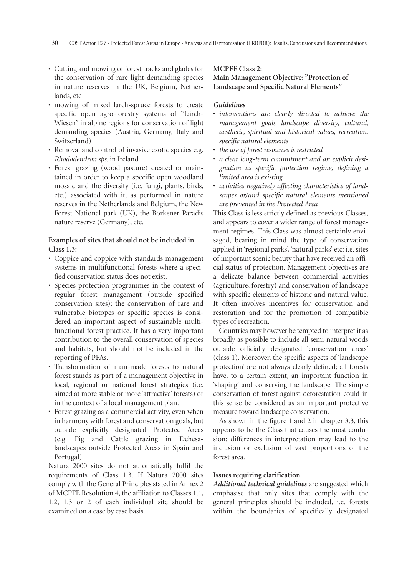- Cutting and mowing of forest tracks and glades for the conservation of rare light-demanding species in nature reserves in the UK, Belgium, Netherlands, etc
- mowing of mixed larch-spruce forests to create specific open agro-forestry systems of "Lärch-Wiesen" in alpine regions for conservation of light demanding species (Austria, Germany, Italy and Switzerland)
- Removal and control of invasive exotic species e.g. *Rhododendron sps.* in Ireland
- Forest grazing (wood pasture) created or maintained in order to keep a specific open woodland mosaic and the diversity (i.e. fungi, plants, birds, etc.) associated with it, as performed in nature reserves in the Netherlands and Belgium, the New Forest National park (UK), the Borkener Paradis nature reserve (Germany), etc.

# **Examples of sites that should not be included in Class 1.3:**

- Coppice and coppice with standards management systems in multifunctional forests where a specified conservation status does not exist.
- Species protection programmes in the context of regular forest management (outside specified conservation sites); the conservation of rare and vulnerable biotopes or specific species is considered an important aspect of sustainable multifunctional forest practice. It has a very important contribution to the overall conservation of species and habitats, but should not be included in the reporting of PFAs.
- Transformation of man-made forests to natural forest stands as part of a management objective in local, regional or national forest strategies (i.e. aimed at more stable or more 'attractive' forests) or in the context of a local management plan.
- Forest grazing as a commercial activity, even when in harmony with forest and conservation goals, but outside explicitly designated Protected Areas (e.g. Pig and Cattle grazing in Dehesalandscapes outside Protected Areas in Spain and Portugal).

Natura 2000 sites do not automatically fulfil the requirements of Class 1.3. If Natura 2000 sites comply with the General Principles stated in Annex 2 of MCPFE Resolution 4, the affiliation to Classes 1.1, 1.2, 1.3 or 2 of each individual site should be examined on a case by case basis.

## **MCPFE Class 2:**

# **Main Management Objective: "Protection of Landscape and Specific Natural Elements"**

## *Guidelines*

- *interventions are clearly directed to achieve the management goals landscape diversity, cultural, aesthetic, spiritual and historical values, recreation, specific natural elements*
- *the use of forest resources is restricted*
- *a clear long-term commitment and an explicit designation as specific protection regime, defining a limited area is existing*
- *activities negatively affecting characteristics of landscapes or/and specific natural elements mentioned are prevented in the Protected Area*

This Class is less strictly defined as previous Classes, and appears to cover a wider range of forest management regimes. This Class was almost certainly envisaged, bearing in mind the type of conservation applied in 'regional parks', 'natural parks' etc: i.e. sites of important scenic beauty that have received an official status of protection. Management objectives are a delicate balance between commercial activities (agriculture, forestry) and conservation of landscape with specific elements of historic and natural value. It often involves incentives for conservation and restoration and for the promotion of compatible types of recreation.

Countries may however be tempted to interpret it as broadly as possible to include all semi-natural woods outside officially designated 'conservation areas' (class 1). Moreover, the specific aspects of 'landscape protection' are not always clearly defined; all forests have, to a certain extent, an important function in 'shaping' and conserving the landscape. The simple conservation of forest against deforestation could in this sense be considered as an important protective measure toward landscape conservation.

As shown in the figure 1 and 2 in chapter 3.3, this appears to be the Class that causes the most confusion: differences in interpretation may lead to the inclusion or exclusion of vast proportions of the forest area.

## **Issues requiring clarification**

*Additional technical guidelines* are suggested which emphasise that only sites that comply with the general principles should be included, i.e. forests within the boundaries of specifically designated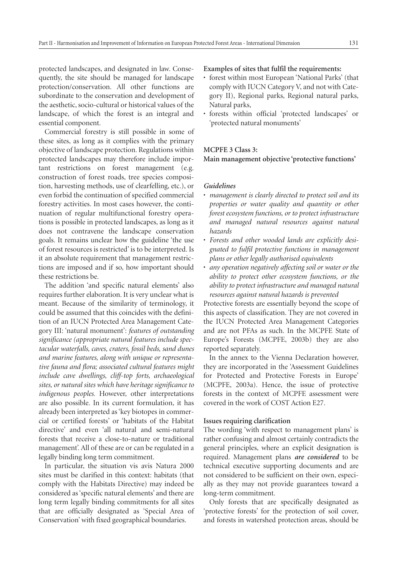protected landscapes, and designated in law. Consequently, the site should be managed for landscape protection/conservation. All other functions are subordinate to the conservation and development of the aesthetic, socio-cultural or historical values of the landscape, of which the forest is an integral and essential component.

Commercial forestry is still possible in some of these sites, as long as it complies with the primary objective of landscape protection. Regulations within protected landscapes may therefore include important restrictions on forest management (e.g. construction of forest roads, tree species composition, harvesting methods, use of clearfelling, etc.), or even forbid the continuation of specified commercial forestry activities. In most cases however, the continuation of regular multifunctional forestry operations is possible in protected landscapes, as long as it does not contravene the landscape conservation goals. It remains unclear how the guideline 'the use of forest resources is restricted' is to be interpreted. Is it an absolute requirement that management restrictions are imposed and if so, how important should these restrictions be.

The addition 'and specific natural elements' also requires further elaboration. It is very unclear what is meant. Because of the similarity of terminology, it could be assumed that this coincides with the definition of an IUCN Protected Area Management Category III: 'natural monument': *features of outstanding significance (appropriate natural features include spectacular waterfalls, caves, craters, fossil beds, sand dunes and marine features, along with unique or representative fauna and flora; associated cultural features might include cave dwellings, cliff-top forts, archaeological sites, or natural sites which have heritage significance to indigenous peoples.* However, other interpretations are also possible. In its current formulation, it has already been interpreted as 'key biotopes in commercial or certified forests' or 'habitats of the Habitat directive' and even 'all natural and semi-natural forests that receive a close-to-nature or traditional management'. All of these are or can be regulated in a legally binding long term commitment.

In particular, the situation vis avis Natura 2000 sites must be clarified in this context: habitats (that comply with the Habitats Directive) may indeed be considered as 'specific natural elements' and there are long term legally binding commitments for all sites that are officially designated as 'Special Area of Conservation' with fixed geographical boundaries.

#### **Examples of sites that fulfil the requirements:**

- forest within most European 'National Parks' (that comply with IUCN Category V, and not with Category II), Regional parks, Regional natural parks, Natural parks,
- forests within official 'protected landscapes' or 'protected natural monuments'

#### **MCPFE 3 Class 3:**

**Main management objective 'protective functions'**

## *Guidelines*

- *management is clearly directed to protect soil and its properties or water quality and quantity or other forest ecosystem functions, or to protect infrastructure and managed natural resources against natural hazards*
- *Forests and other wooded lands are explicitly designated to fulfil protective functions in management plans or other legally authorised equivalents*
- *any operation negatively affecting soil or water or the ability to protect other ecosystem functions, or the ability to protect infrastructure and managed natural resources against natural hazards is prevented*

Protective forests are essentially beyond the scope of this aspects of classification. They are not covered in the IUCN Protected Area Management Categories and are not PFAs as such. In the MCPFE State of Europe's Forests (MCPFE, 2003b) they are also reported separately.

In the annex to the Vienna Declaration however, they are incorporated in the 'Assessment Guidelines for Protected and Protective Forests in Europe' (MCPFE, 2003a). Hence, the issue of protective forests in the context of MCPFE assessment were covered in the work of COST Action E27.

#### **Issues requiring clarification**

The wording 'with respect to management plans' is rather confusing and almost certainly contradicts the general principles, where an explicit designation is required. Management plans *are considered* to be technical executive supporting documents and are not considered to be sufficient on their own, especially as they may not provide guarantees toward a long-term commitment.

Only forests that are specifically designated as 'protective forests' for the protection of soil cover, and forests in watershed protection areas, should be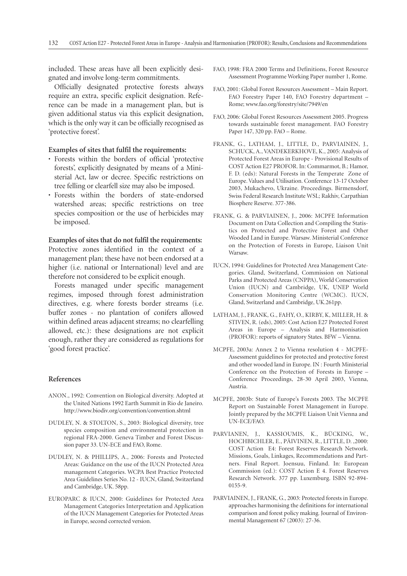included. These areas have all been explicitly designated and involve long-term commitments.

Officially designated protective forests always require an extra, specific explicit designation. Reference can be made in a management plan, but is given additional status via this explicit designation, which is the only way it can be officially recognised as 'protective forest'.

#### **Examples of sites that fulfil the requirements:**

- Forests within the borders of official 'protective forests', explicitly designated by means of a Ministerial Act, law or decree. Specific restrictions on tree felling or clearfell size may also be imposed.
- Forests within the borders of state-endorsed watershed areas; specific restrictions on tree species composition or the use of herbicides may be imposed.

#### **Examples of sites that do not fulfil the requirements:**

Protective zones identified in the context of a management plan; these have not been endorsed at a higher (i.e. national or International) level and are therefore not considered to be explicit enough.

Forests managed under specific management regimes, imposed through forest administration directives, e.g. where forests border streams (i.e. buffer zones - no plantation of conifers allowed within defined areas adjacent streams; no clearfelling allowed, etc.): these designations are not explicit enough, rather they are considered as regulations for 'good forest practice'.

## **References**

- ANON., 1992: Convention on Biological diversity. Adopted at the United Nations 1992 Earth Summit in Rio de Janeiro. http://www.biodiv.org/convention/convention.shtml
- DUDLEY, N. & STOLTON, S., 2003: Biological diversity, tree species composition and environmental protection in regional FRA-2000. Geneva Timber and Forest Discussion paper 33. UN-ECE and FAO, Rome.
- DUDLEY, N. & PHILLIPS, A., 2006: Forests and Protected Areas: Guidance on the use of the IUCN Protected Area management Categories. WCPA Best Practice Protected Area Guidelines Series No. 12 - IUCN, Gland, Switzerland and Cambridge, UK. 58pp.
- EUROPARC & IUCN, 2000: Guidelines for Protected Area Management Categories Interpretation and Application of the IUCN Management Categories for Protected Areas in Europe, second corrected version.
- FAO, 1998: FRA 2000 Terms and Definitions, Forest Resource Assessment Programme Working Paper number 1, Rome.
- FAO, 2001: Global Forest Resources Assessment Main Report. FAO Forestry Paper 140, FAO Forestry department – Rome; www.fao.org/forestry/site/7949/en
- FAO, 2006: Global Forest Resources Assessment 2005. Progress towards sustainable forest management. FAO Forestry Paper 147, 320 pp. FAO – Rome.
- FRANK, G., LATHAM, J., LITTLE, D., PARVIAINEN, J., SCHUCK, A., VANDEKERKHOVE, K., 2005: Analysis of Protected Forest Areas in Europe - Provisional Results of COST Action E27 PROFOR. In: Commarmot, B.; Hamor, F. D. (eds): Natural Forests in the Temperate Zone of Europe. Values and Utilisation. Conference 13-17 October 2003, Mukachevo, Ukraine. Proceedings. Birmensdorf, Swiss Federal Research Institute WSL; Rakhiv, Carpathian Biosphere Reserve. 377-386.
- FRANK, G. & PARVIAINEN, J., 2006: MCPFE Information Document on Data Collection and Compiling the Statistics on Protected and Protective Forest and Other Wooded Land in Europe. Warsaw. Ministerial Conference on the Protection of Forests in Europe, Liaison Unit Warsaw.
- IUCN, 1994: Guidelines for Protected Area Management Categories. Gland, Switzerland, Commission on National Parks and Protected Areas (CNPPA), World Conservation Union (IUCN) and Cambridge, UK, UNEP World Conservation Monitoring Centre (WCMC). IUCN, Gland, Switzerland and Cambridge, UK.261pp.
- LATHAM, J., FRANK, G., FAHY, O., KIRBY, K, MILLER, H. & STIVEN, R. (eds), 2005: Cost Action E27 Protected Forest Areas in Europe – Analysis and Harmonisation (PROFOR): reports of signatory States. BFW – Vienna.
- MCPFE, 2003a: Annex 2 to Vienna resolution 4 MCPFE-Assessment guidelines for protected and protective forest and other wooded land in Europe. IN : Fourth Ministerial Conference on the Protection of Forests in Europe – Conference Proceedings, 28-30 April 2003, Vienna, Austria.
- MCPFE, 2003b: State of Europe's Forests 2003. The MCPFE Report on Sustainable Forest Management in Europe. Jointly prepared by the MCPFE Liaison Unit Vienna and UN-ECE/FAO.
- PARVIANEN, J., KASSIOUMIS, K., BÜCKING, W., HOCHBICHLER, E., PÄIVINEN, R., LITTLE, D. ,2000: COST Action E4: Forest Reserves Research Network. Missions, Goals, Linkages, Recommendations and Partners. Final Report. Joensuu, Finland. In: European Commission (ed.): COST Action E 4. Forest Reserves Research Network. 377 pp. Luxemburg. ISBN 92-894- 0155-9.
- PARVIAINEN, J., FRANK, G., 2003: Protected forests in Europe. approaches harmonising the definitions for international comparison and forest policy making. Journal of Environmental Management 67 (2003): 27-36.